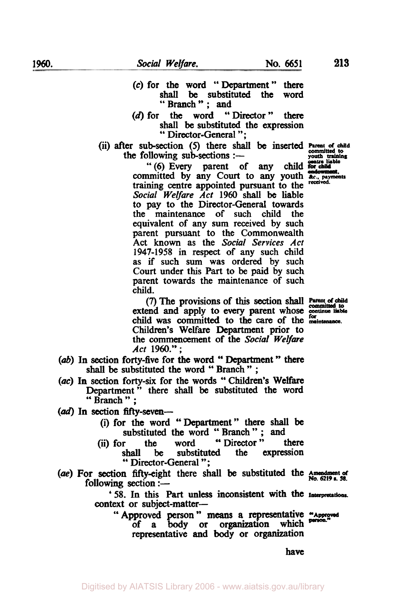shall be substituted the word<br>
" Branch " ; and<br>
" the word " Director " there (d) for the word "Director" shall be substituted the expression " Director-General ";

*(c)* for the word ''Department'' there

the following sub-sections  $:$ (ii) after sub-section (5) there shall be inserted **Parent of child**<br>the following sub-sections :--<br>youth training

"(6) Every parent of any child committed by any Court to any youth **and the activity** training centre appointed pursuant to the *Social Welfare Act* 1960 **shall** be liable to pay to the Director-Genera1 towards the maintenance of such child the equivalent of any sum received by such parent pursuant to the Commonwealth Act **known** as the Social *Services Act*  **1947-1958** in respect of any such child as if such sum was ordered by such Court under this **Part** to be paid by such parent towards the maintenance of such child.

extend and apply to every parent whose **continue** liable child was committed to **the care** of the *maintenance.*  Children's Welfare Department prior to the commencement **of** the *Social Welfare Act* **1960.";**  *(7)* The provisions of this **section** shall **Parent of child** 

- Act 1960.";<br>(ab) In section forty-five for the word " Department " there **section forty-five for the word " Departmen**<br>
shall be substituted the word " Branch";
- **(ac)** In section forty-six for the words " Children's Welfare Department<sup>5</sup> there shall be substituted the word " Branch " ;
- **(ad)** In **section** filly-seven-
	- (i) for the word "Department" there shall be substituted the word " Branch " ; and
	- (ii) for the word "Director" there<br>shall be substituted the expression **shall be substituted the expression**<br>
	"Director-General";
- *(ae)* For **section** fifty-eight there **shall** be substituted the **Amendment** *of*  **No. 6219 s. 38.** following section :-

**'58. In this Part** unless inconsistent with the **Interpretations**  context or subject-matter-

"Approved **person"** means **a** representative "Approved of a **body** or organization which person. representative and **body** or organization

have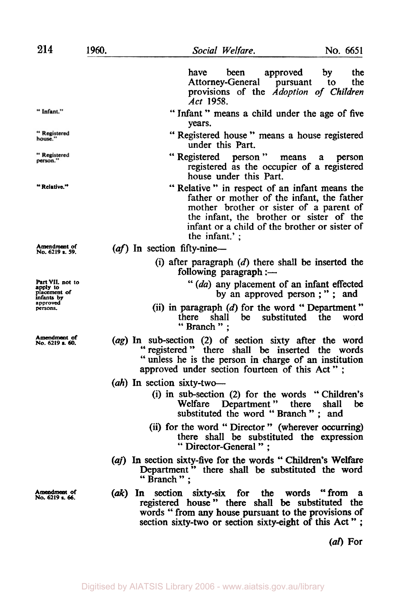|                                                                                    | have<br>been<br>approved<br>by<br>the<br>Attorney-General pursuant to<br>the<br>provisions of the Adoption of Children<br>Act 1958.                                                                                                                 |  |  |
|------------------------------------------------------------------------------------|-----------------------------------------------------------------------------------------------------------------------------------------------------------------------------------------------------------------------------------------------------|--|--|
| " Infant."                                                                         | "Infant" means a child under the age of five<br>years.                                                                                                                                                                                              |  |  |
| "Registered<br>house."                                                             | "Registered house" means a house registered<br>under this Part.                                                                                                                                                                                     |  |  |
| " Registered<br>person."                                                           | "Registered person" means a<br>person<br>registered as the occupier of a registered<br>house under this Part.                                                                                                                                       |  |  |
| "Relative."                                                                        | "Relative" in respect of an infant means the<br>father or mother of the infant, the father<br>mother brother or sister of a parent of<br>the infant, the brother or sister of the<br>infant or a child of the brother or sister of<br>the infant.': |  |  |
| Amendment of<br>No. 6219 s. 59.                                                    | $(af)$ In section fifty-nine-                                                                                                                                                                                                                       |  |  |
|                                                                                    | (i) after paragraph $(d)$ there shall be inserted the<br>following paragraph :-                                                                                                                                                                     |  |  |
| Part VII. not to<br>apply to<br>placement of<br>infants by<br>approved<br>persons. | " (da) any placement of an infant effected<br>by an approved person;"; and                                                                                                                                                                          |  |  |
|                                                                                    | (ii) in paragraph $(d)$ for the word "Department"<br>shall be substituted the<br>there<br>word<br>"Branch";                                                                                                                                         |  |  |
| Amendment of<br>No. 6219 s. 60.                                                    | (ag) In sub-section (2) of section sixty after the word<br>"registered" there shall be inserted the words<br>"unless he is the person in charge of an institution<br>approved under section fourteen of this Act";                                  |  |  |
|                                                                                    | $(ah)$ In section sixty-two-<br>(i) in sub-section (2) for the words "Children's<br>Welfare Department" there shall<br>be<br>substituted the word "Branch"; and                                                                                     |  |  |
|                                                                                    | (ii) for the word "Director" (wherever occurring)<br>there shall be substituted the expression<br>"Director-General":                                                                                                                               |  |  |
|                                                                                    | (aj) In section sixty-five for the words "Children's Welfare<br>Department" there shall be substituted the word<br>"Branch":                                                                                                                        |  |  |
| Amendment of<br>No. 6219 s. 66.                                                    | (ak) In section sixty-six for the words "from a<br>registered house" there shall be substituted the<br>words "from any house pursuant to the provisions of<br>section sixty-two or section sixty-eight of this Act";                                |  |  |

*(al)* **For**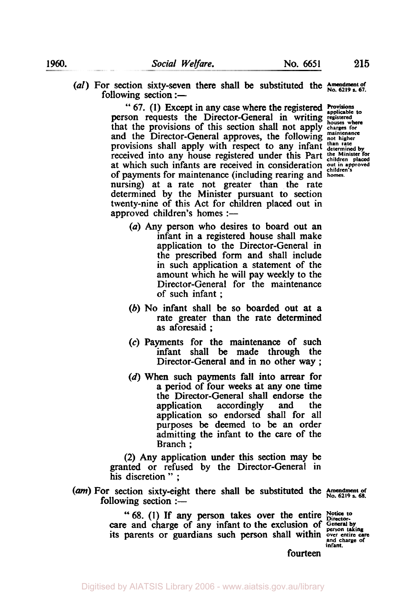- 
- (al) For section sixty-seven there shall be substituted the  $\frac{\text{Amendment of}}{\text{hole, }6219 \text{ s. }67.}$

" 67. (I) Except in any case where the registered **Provisions**  person requests the Director-General in writing registered **person** that the provisions of this section shall not apply and the Director-General approves, the following provisions shall apply with respect to any infant received into any house registered under this Part at which such infants are received in consideration of payments for maintenance (including rearing and nursing) at a rate not greater than the rate determined by the Minister pursuant to section twenty-nine of this Act for children placed out in approved children's homes :-

- **houses where charges for maintenance not higher than rate determined by the Minister for children placed out in approved children's homes.**
- *(a)* Any person who desires to board out an infant in a registered house shall make application to the Director-General in the prescribed form and shall include in such application a statement of the amount which he will pay weekly to the Director-General for the maintenance of such infant ;
- (b) No infant shall be **so** boarded out at a rate greater than the rate determined as aforesaid ;
- *(c)* Payments for the maintenance of such infant shall be made through the Director-General and in no other way ;
- (d) When such payments fall into arrear for a period of four weeks at any one time the Director-General shall endorse the application accordingly and the application **so** endorsed shall for all purposes be deemed to be an order admitting the infant to the care of the Branch ;

**(2)** Any application under this section may be granted or refused by the Director-General in his discretion " ;

(am) For section sixty-eight there shall be substituted the Amendment of **FOLLOWING** section :-

"68. (I) If any person takes over the entire care and charge of any infant to the exclusion of **General by person taking**  its parents or guardians such person shall within over entire care

**infant.**  Notice to<br>Director-

fourteen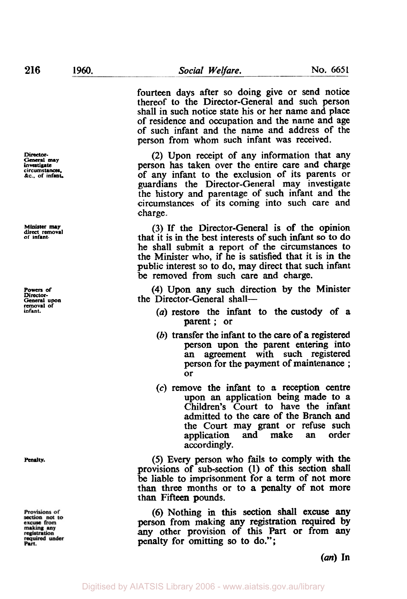Director-<br>General may **General may investigate circumstances. &c.. of infant.** 

**Minister may direct removal of infant.** 

**Powers of**  *Director-General* **upon removal of infant.** 

**Penalty.** 

Provisions of section not to<br>excuse from making any<br>registration equired under Part.

fourteen days after **so** doing give or send notice thereof to the Director-General and such person shall in such notice state his or her name and place of residence and occupation and the name and age of such infant and the name and address of the person from whom such infant was received.

(2) Upon receipt of any information that any person has taken over the entire care and charge of any infant to the exclusion of its parents or guardians the Director-General may investigate the history and parentage of such infant and the circumstances of its coming into such care and charge.

(3) If the Director-General is of the opinion that it is in the best interests of such infant **so to** do he shall submit a report of the circumstances to the Minister who, if he is satisfied that it is in the public interest **so** to do, may direct that such infant be removed from such care and charge.

**(4)** Upon any such direction by the Minister the Director-General shall-

- *(a)* restore the infant to the custody of a parent ; or
- (b) transfer the infant to the care of a registered person upon the parent entering into an agreement with such registered person for the payment of maintenance ; or
- *(c)* remove the infant to a reception centre upon an application being made to a Children's Court to have the infant admitted to the care of the Branch and the Court may grant or refuse such<br>application and make an order application accordingly.

*(5)* Every person who fails to comply with the provisions of sub-section **(1)** of this section **shall**  be liable to imprisonment for a **term** of not more than three months or to **a** penalty of not more than Fifteen pounds.

(6) Nothing in this **Section** shall excuse any person from making **any** registration **required** by any other provision of this Part or from any penalty for omitting **so to** do.";

*(an)* In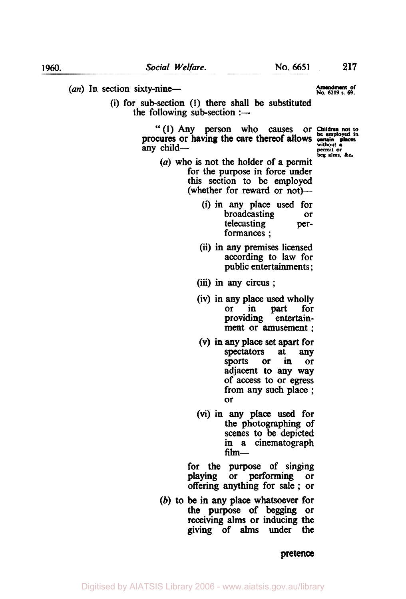(an) In section sixty-nine-<br>No. 6219 s. 69. **Amendment of** No. 6219 s. 69.

(i) for sub-section (I) there shall be substituted the following sub-section  $:$ —

> " (1) Any person who causes or Children not to curres or having the care thereof allows certain places **Without** *<sup>a</sup>*any child- **permit or beg alms,** && procures or having the care thereof allows

- 
- *(a)* who is not the holder of a permit for the purpose in force under this section to be employed (whether for reward or not)—
	- (i) in any place used for broadcasting or<br>telecasting pertelecasting formances ;
	- (ii) in any premises licensed according **to** law for public entertainments;
	- (iii) in any circus ;
	- (iv) in any place used wholly or in part for providing ment or amusement ;
	- (V) in any place **set** apart for spectators at any **sports** or in or adjacent to any way of access to or **egress**  from any such place ; or
	- (vi) in **any** place used for the photographing of scenes to be depicted in a cinematograph  $film-$

for the purpose of singing playing or performing or offering anything for sale ; **or** 

(b) **to** be in any place whatsoever for the purpose of begging or receiving alms or inducing the giving of alms under the

## pretence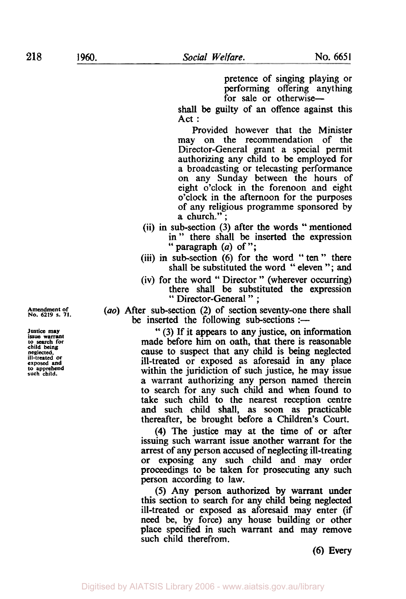pretence of singing playing or performing offering anything for sale or otherwise-

shall be guilty of an offence against this Act :

Provided however that the Minister may on the recommendation of the Director-General grant a special permit authorizing any child to be employed for a broadcasting or telecasting performance on any Sunday between the hours of eight o'clock in the forenoon and eight o'clock in the afternoon for the purposes of any religious programme sponsored by a church.";

- (ii) in sub-section (3) after the words " mentioned in" there shall be inserted the expression " paragraph  $(a)$  of ";
- (iii) in sub-section (6) for the word " ten " there shall be substituted the word " eleven "; and
- (iv) for the word " Director " (wherever occurring) there shall be substituted the expression " Director-General " ;

*(ao)* After sub-section (2) of section seventy-one there shall be inserted the following sub-sections :-

> " (3) If it appears to any justice, on information made before him on oath, that there is reasonable cause to suspect that any child is being neglected ill-treated or exposed as aforesaid in any place within the juridiction of such justice, he may issue a warrant authorizing any person named therein to search for any such child and when found to take such child to the nearest reception centre and such child shall, **as** soon as practicable thereafter, be brought before a Children's Court.

> **(4)** The justice may at the time of or after issuing such warrant issue another warrant for the arrest of any person accused of neglecting ill-treating or exposing any such child and may order proceedings to be taken for prosecuting any such person according to law.

> **(5)** Any person authorized by warrant under this section to search for any child being neglected ill-treated or exposed as aforesaid may enter (if need be, by force) any house building or other place specified in such warrant and may remove such child therefrom.

> > **(6)** Every

**Amendment of No.** *6219* **s. 71.** 

**Justice may issue warrant to search for child being**  neglected, vill-treated or **ill-treated or exposed and to apprehend such child.**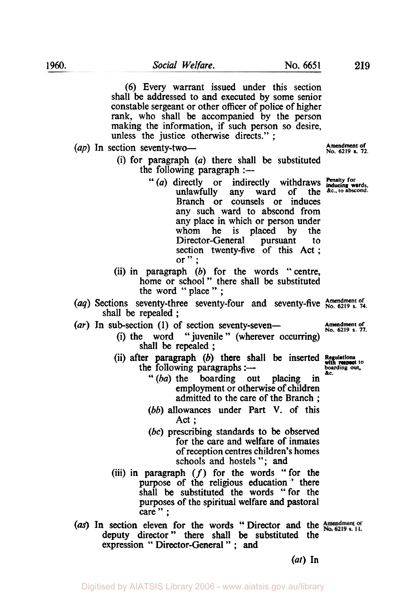(6) Every warrant issued under this section shall be addressed to and executed by some senior constable sergeant or other officer of police of higher rank, who shall be accompanied by the person making the information, if such person so desire, unless the justice otherwise directs." ;

(ap) In section seventy-two-

- (i) for paragraph *(a)* there shall be substituted
	- " $(a)$  directly or indirectly withdraws  $\frac{Pe_{\text{mality}}}{P_{\text{inducing}}}$ unlawfully any ward of the Branch or counsels or induces any such ward to abscond from any place in which or person under<br>whom he is placed by the placed by Director-General pursuant to section twenty-five of this Act ; or  $"$  ;
- (ii) in paragraph *(b)* for the words "centre, home or school" there shall be substituted the word "place" ;
- (aq) Sections seventy-three seventy-four and seventy-five Amendment of  $(aq)$  Sections seventy-three seventy-four and seventy-five  $a_{N0.6219 s. 74.}$ shall be repealed ;
- (ar) In sub-section (1) of section seventy-seven-
	- (i) the word " juvenile " (wherever occurring) shall be repealed;
	- the following paragraphs : $-$ (ii) after paragraph (b) there shall be inserted Regulations
		- " *(ba)* the boarding out placing in employment or otherwise of children admitted to the care of the Branch ;
		- (*bb*) allowances under Part V. of this Act;
		- *(bc)* prescribing standards to be observed for the care and welfare of inmates of reception centres children's homes schools and hostels "; and
	- (iii) in paragraph *(f)* for the words "for the purpose of the religious education ' there shall be substituted the words "for the purposes of the spiritual welfare and pastoral care":
- (as) In section eleven for the words "Director and the Amendment of deputy director " there shall be substituted the expression " Director-General " ; **and**

*(ut)* **In** 

**Amendment of** 

**inducing wards.** 

**Amendment of** 

with respect to **boarding** out, &c.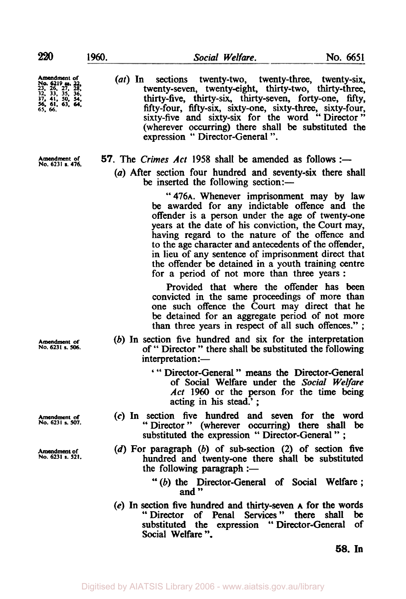*56,* **61, 63,** *64,* 

Amendment of *n* (*at*) In sections twenty-two, twenty-three, twenty-six, **23,** *32* **26 33, 27, 35, 28, 36:** twenty-seven, twenty-eight, thirty-two, thirty-three, **37 41** *50* **<sup>54</sup>**thirty-five, thirty-six, thirty-seven, forty-one, fifty, *65,* 66. fifty-four, fifty-six, sixty-one, sixty-three, sixty-four, sixty-five and sixty-six for the word "Director" (wherever occurring) there shall be substituted the expression '' Director-General ".

Amendment of **57.** The *Crimes Act* 1958 shall be amended as follows :-

*(a)* After section four hundred and seventy-six there shall be inserted the following section:-

> '' **476A.** Whenever imprisonment may by law be awarded for any indictable offence and the offender is a person under the age of twenty-one years at the date of his conviction, the Court may, having regard to the nature of the offence and to the age character and antecedents of the offender, in lieu of any sentence of imprisonment direct that the offender be detained in a youth training centre for a period of not more than three years :

> Provided that where the offender has been convicted in the same proceedings of more than one such offence the Court may direct that he be detained for an aggregate period of not more than three years in respect of all such offences." ;

- (b) In section five hundred and six for the interpretation of " Director " there shall be substituted the following  $interpretation :=$ 
	- ' " Director-General " means the Director-General of Social Welfare under the *Social Welfare Act* 1960 or the person for the time being acting in **his** stead.' ;
- *(c)* In section five hundred and seven for the word " Director " (wherever occurring) there shall be substituted the expression " Director-General " ;
- **(d)** For paragraph (b) of sub-section (2) of section five hundred and twenty-one there shall be substituted the following paragraph  $:$ 
	- " (b) the Director-General of Social Welfare ; and "
- **(e)** In section five hundred and thirty-seven **A** for the words "Director of Penal Services" there substituted the expression " Director-General of Social Welfare ".

**58. In** 

**Amendment** *of* **No. 6231 s.** *506.* 

**Amendment of No. 6231 s.** *507.* 

**Amendment of No. 6231 a. 521.**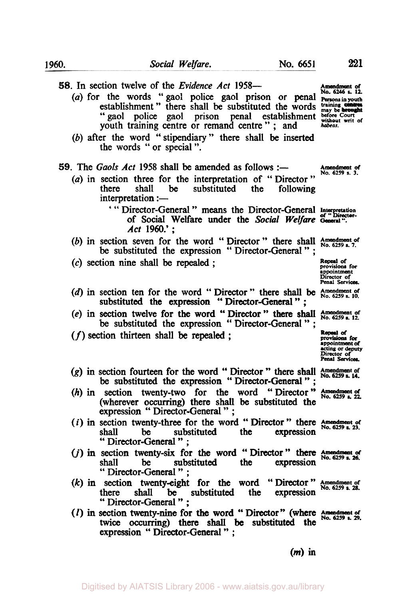**Amendment** *of*  (a) for the words "gaol police gaol prison or penal **Persons in youth** (a) for the words "gaol police gaol prison or penal **Persons in youth** *58.* In section twelve of the *Evidence Act* 1958 establishment " there shall be substituted the words **training** establishment " there shall be substituted the words **training** " gaol police gaol prison penal establishment  $\frac{\text{before}}{\text{without}}$ youth training centre or remand centre " ; and *habeas.*  (b) after the word "stipendiary" there shall be inserted the words "or special". **Amendment** *of*  **59.** The Gaols Act 1958 shall be amended as follows :-(a) in section three for the interpretation of "Director" there shall be substituted the following substituted the following interpretation :-' " Director-General " means the Director-General Interpretation (b) in section seven for the word "Director" there shall  $\lambda_{0.6259}^{\text{mendment of}}$ of Social Welfare under the *Social Welfare* **General "..**  *Act* 1960.' ; be substituted the expression " Director-General " ; **Repeal of provisions for appointment Director of PenaI** *services.*  **(c)** section nine **shall** be repealed ; (d) in section ten for the word " Director " there shall be  $\frac{\text{Amendment of}}{\text{No. 6259 s. 10}}$ (e) in section twelve for the word "Director" there shall Amendment of be substituted the expression "Director-General"; substituted the expression "Director-General": **(f)** section thirteen shall be repealed ; *Repeal of Repeal of Repeal of Repeal of Repeal of Repeal of Repeal of* **appointment** *of*  Penal *services*  **(g)** in section fourteen for the word " Director " there shall section fourteen for the word " Director " there shall  $\beta$  be substituted the expression " Director-General "; (h) in section twenty-two for the word "Director" **Amendment of** No. 6259 s. 22. (wherever **occurring)** there **shall** be substituted the expression " Director-General " ; (*i*) in section twenty-three for the word " Director " there  $\frac{\text{Amendment of}}{\text{shall}}$  be substituted the expression  $\frac{\text{Amendment of}}{\text{Au}}$ shall be substituted the expression "Director-General" ; (j) in section twenty-six for the word "Director" there **Amendment of**<br>(j) in section twenty-six for the word "Director" there **Amendment of No. 6259 s. 26.** shall be substituted the expression " Director-General " ;  $(k)$  in section twenty-eight for the word "Director" Amendment of  $\frac{1}{2}$  and  $\frac{1}{2}$  and  $\frac{1}{2}$  and  $\frac{1}{2}$  and  $\frac{1}{2}$  and  $\frac{1}{2}$  and  $\frac{1}{2}$  and  $\frac{1}{2}$  and  $\frac{1}{2}$  and  $\frac{1}{2}$  and  $\frac{1}{2}$  and there shall **be** substituted the expression " Director-General " ; (I) in **section** twenty-nine for **the** word " Director" (where *Amendment of No. 6259 s. 29.*  twice occurring) there **shall** be substituted the expression " Director-General " ;

acting **or deputy Director of**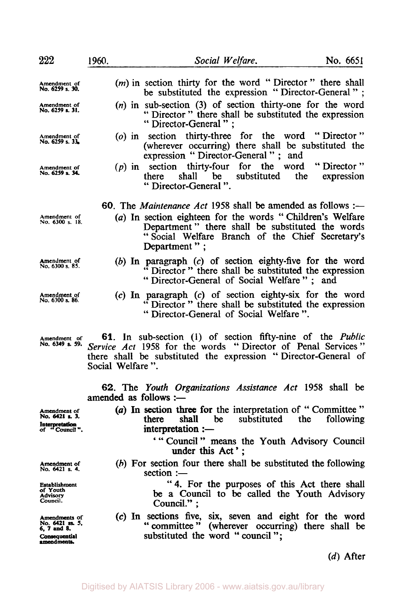| 222                                                                             | 1960.                 | Social Welfare.                                                                                                                                                                                    | No. 6651    |
|---------------------------------------------------------------------------------|-----------------------|----------------------------------------------------------------------------------------------------------------------------------------------------------------------------------------------------|-------------|
| Amendment of<br>No. 6259 s. 30.                                                 |                       | ( <i>m</i> ) in section thirty for the word "Director" there shall<br>be substituted the expression "Director-General";                                                                            |             |
| Amendment of<br>No. 6259 s. 31.                                                 |                       | $(n)$ in sub-section (3) of section thirty-one for the word<br>" Director" there shall be substituted the expression<br>"Director-General":                                                        |             |
| Amendment of<br>No. 6259 s. 33.                                                 |                       | (o) in section thirty-three for the word "Director"<br>(wherever occurring) there shall be substituted the<br>expression "Director-General"; and                                                   |             |
| Amendment of<br>No. 6259 s. 34.                                                 |                       | $(p)$ in section thirty-four for the word "Director"<br>shall be substituted the<br>there<br>"Director-General".                                                                                   | expression  |
|                                                                                 |                       | 60. The Maintenance Act 1958 shall be amended as follows :-                                                                                                                                        |             |
| Amendment of<br>No. 6300 s. 18.                                                 |                       | (a) In section eighteen for the words "Children's Welfare<br>Department" there shall be substituted the words<br>"Social Welfare Branch of the Chief Secretary's<br>Department";                   |             |
| Amendment of<br>No. 6300 s. 85.                                                 |                       | (b) In paragraph $(c)$ of section eighty-five for the word<br>"Director" there shall be substituted the expression<br>"Director-General of Social Welfare"; and                                    |             |
| Amendment of<br>No. 6300 s. 86.                                                 |                       | (c) In paragraph (c) of section eighty-six for the word<br>"Director" there shall be substituted the expression<br>"Director-General of Social Welfare".                                           |             |
| Amendment of<br>No. 6349 s. 59.                                                 | Social Welfare".      | 61. In sub-section (1) of section fifty-nine of the <i>Public</i><br>Service Act 1958 for the words "Director of Penal Services"<br>there shall be substituted the expression "Director-General of |             |
|                                                                                 | amended as follows :- | 62. The Youth Organizations Assistance Act 1958 shall be                                                                                                                                           |             |
| Amendment of<br>No. 6421 s. 3.<br>Interpretation<br>of "Council".               |                       | (a) In section three for the interpretation of "Committee"<br>shall be<br>substituted the<br>there<br>interpretation :-                                                                            | following   |
|                                                                                 |                       | "Council" means the Youth Advisory Council<br>under this Act';                                                                                                                                     |             |
| Amendment of<br>No. 6421 s. 4.                                                  |                       | (b) For section four there shall be substituted the following<br>section :-                                                                                                                        |             |
| Establishment<br>of Youth<br><b>Advisory</b><br>Council.                        |                       | "4. For the purposes of this Act there shall<br>be a Council to be called the Youth Advisory<br>Council.":                                                                                         |             |
| Amendments of<br>No. 6421 ss. 5,<br>6, 7 and 8.<br>Consequential<br>amendments. |                       | (c) In sections five, six, seven and eight for the word<br>" committee"<br>(wherever occurring) there shall be<br>substituted the word "council";                                                  |             |
|                                                                                 |                       |                                                                                                                                                                                                    | $(d)$ After |